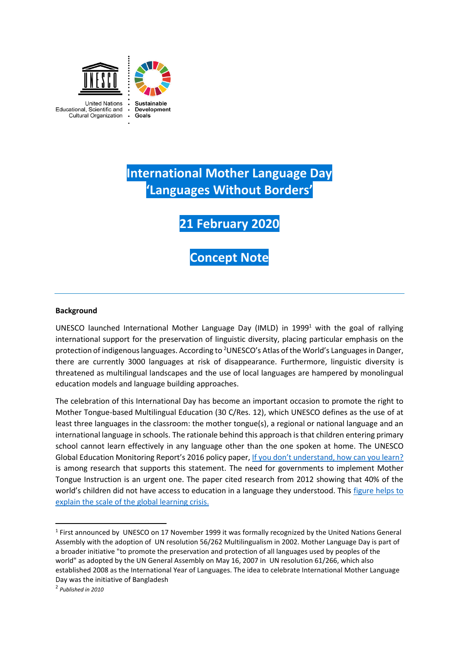

**International Mother Language Day 'Languages Without Borders'**

**21 February 2020**

**Concept Note**

#### **Background**

UNESCO launched International Mother Language Day (IMLD) in 1999<sup>1</sup> with the goal of rallying international support for the preservation of linguistic diversity, placing particular emphasis on the protection of indigenous languages. According to <sup>2</sup>UNESCO's Atlas of the World's Languages in Danger, there are currently 3000 languages at risk of disappearance. Furthermore, linguistic diversity is threatened as multilingual landscapes and the use of local languages are hampered by monolingual education models and language building approaches.

The celebration of this International Day has become an important occasion to promote the right to Mother Tongue-based Multilingual Education (30 C/Res. 12), which UNESCO defines as the use of at least three languages in the classroom: the mother tongue(s), a regional or national language and an international language in schools. The rationale behind this approach is that children entering primary school cannot learn effectively in any language other than the one spoken at home. The UNESCO Global Education Monitoring Report's 2016 policy paper, [If you don't understand, how can you learn?](https://unesdoc.unesco.org/ark:/48223/pf0000243713) is among research that supports this statement. The need for governments to implement Mother Tongue Instruction is an urgent one. The paper cited research from 2012 showing that 40% of the world's children did not have access to education in a language they understood. This [figure helps to](https://unesdoc.unesco.org/ark:/48223/pf0000368935)  [explain the scale of the global learning crisis.](https://unesdoc.unesco.org/ark:/48223/pf0000368935)

**.** 

<sup>&</sup>lt;sup>1</sup> First announced by UNESCO on 17 November 1999 it was formally recognized by the United Nations General Assembly with the adoption of UN resolution 56/262 Multilingualism in 2002. Mother Language Day is part of a broader initiative "to promote the preservation and protection of all languages used by peoples of the world" as adopted by the UN General Assembly on May 16, 2007 in UN resolution 61/266, which also established 2008 as the International Year of Languages. The idea to celebrate International Mother Language Day was the initiative of Bangladesh

<sup>2</sup> *Published in 2010*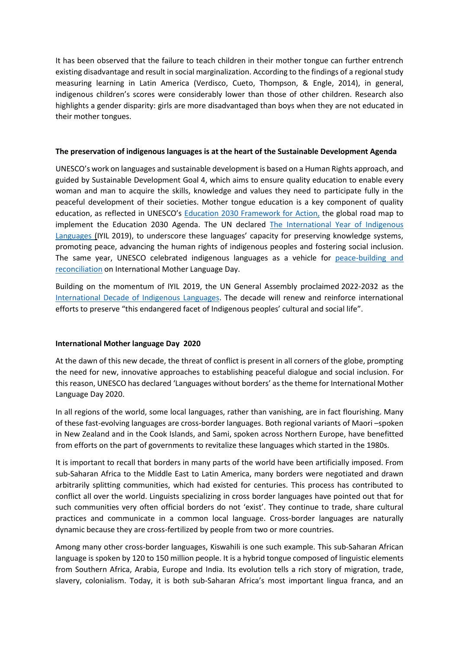It has been observed that the failure to teach children in their mother tongue can further entrench existing disadvantage and result in social marginalization. According to the findings of a regional study measuring learning in Latin America (Verdisco, Cueto, Thompson, & Engle, 2014), in general, indigenous children's scores were considerably lower than those of other children. Research also highlights a gender disparity: girls are more disadvantaged than boys when they are not educated in their mother tongues.

### **The preservation of indigenous languages is at the heart of the Sustainable Development Agenda**

UNESCO's work on languages and sustainable development is based on a Human Rights approach, and guided by Sustainable Development Goal 4, which aims to ensure quality education to enable every woman and man to acquire the skills, knowledge and values they need to participate fully in the peaceful development of their societies. Mother tongue education is a key component of quality education, as reflected in UNESCO's [Education 2030 Framework for Action,](http://uis.unesco.org/sites/default/files/documents/education-2030-incheon-framework-for-action-implementation-of-sdg4-2016-en_2.pdf) the global road map to implement the Education 2030 Agenda. The UN declared [The International Year of Indigenous](https://en.iyil2019.org/)  [Languages \(I](https://en.iyil2019.org/)YIL 2019), to underscore these languages' capacity for preserving knowledge systems, promoting peace, advancing the human rights of indigenous peoples and fostering social inclusion. The same year, UNESCO celebrated indigenous languages as a vehicle for [peace-building and](https://en.unesco.org/events/international-mother-language-day-2019-opening-event-unesco-hq)  [reconciliation](https://en.unesco.org/events/international-mother-language-day-2019-opening-event-unesco-hq) on International Mother Language Day.

Building on the momentum of IYIL 2019, the UN General Assembly proclaimed 2022-2032 as the [International Decade of Indigenous Languages.](https://www.un.org/press/en/2019/ga12231.doc.htm) The decade will renew and reinforce international efforts to preserve "this endangered facet of Indigenous peoples' cultural and social life".

# **International Mother language Day 2020**

At the dawn of this new decade, the threat of conflict is present in all corners of the globe, prompting the need for new, innovative approaches to establishing peaceful dialogue and social inclusion. For this reason, UNESCO has declared 'Languages without borders' as the theme for International Mother Language Day 2020.

In all regions of the world, some local languages, rather than vanishing, are in fact flourishing. Many of these fast-evolving languages are cross-border languages. Both regional variants of Maori –spoken in New Zealand and in the Cook Islands, and Sami, spoken across Northern Europe, have benefitted from efforts on the part of governments to revitalize these languages which started in the 1980s.

It is important to recall that borders in many parts of the world have been artificially imposed. From sub-Saharan Africa to the Middle East to Latin America, many borders were negotiated and drawn arbitrarily splitting communities, which had existed for centuries. This process has contributed to conflict all over the world. Linguists specializing in cross border languages have pointed out that for such communities very often official borders do not 'exist'. They continue to trade, share cultural practices and communicate in a common local language. Cross-border languages are naturally dynamic because they are cross-fertilized by people from two or more countries.

Among many other cross-border languages, Kiswahili is one such example. This sub-Saharan African language is spoken by 120 to 150 million people. It is a hybrid tongue composed of linguistic elements from Southern Africa, Arabia, Europe and India. Its evolution tells a rich story of migration, trade, slavery, colonialism. Today, it is both sub-Saharan Africa's most important lingua franca, and an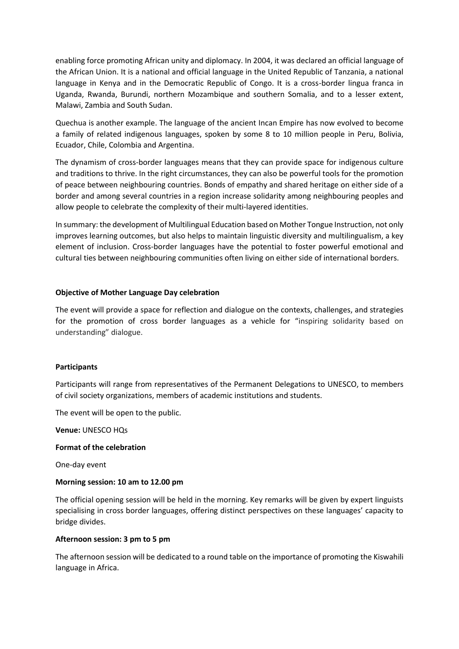enabling force promoting African unity and diplomacy. In 2004, it was declared an official language of the African Union. It is a national and official language in the United Republic of Tanzania, a national language in Kenya and in the Democratic Republic of Congo. It is a cross-border lingua franca in Uganda, Rwanda, Burundi, northern Mozambique and southern Somalia, and to a lesser extent, Malawi, Zambia and South Sudan.

Quechua is another example. The language of the ancient Incan Empire has now evolved to become a family of related indigenous languages, spoken by some 8 to 10 million people in Peru, Bolivia, Ecuador, Chile, Colombia and Argentina.

The dynamism of cross-border languages means that they can provide space for indigenous culture and traditions to thrive. In the right circumstances, they can also be powerful tools for the promotion of peace between neighbouring countries. Bonds of empathy and shared heritage on either side of a border and among several countries in a region increase solidarity among neighbouring peoples and allow people to celebrate the complexity of their multi-layered identities.

In summary: the development of Multilingual Education based on Mother Tongue Instruction, not only improves learning outcomes, but also helps to maintain linguistic diversity and multilingualism, a key element of inclusion. Cross-border languages have the potential to foster powerful emotional and cultural ties between neighbouring communities often living on either side of international borders.

## **Objective of Mother Language Day celebration**

The event will provide a space for reflection and dialogue on the contexts, challenges, and strategies for the promotion of cross border languages as a vehicle for "inspiring solidarity based on understanding" dialogue.

#### **Participants**

Participants will range from representatives of the Permanent Delegations to UNESCO, to members of civil society organizations, members of academic institutions and students.

The event will be open to the public.

**Venue:** UNESCO HQs

#### **Format of the celebration**

One-day event

#### **Morning session: 10 am to 12.00 pm**

The official opening session will be held in the morning. Key remarks will be given by expert linguists specialising in cross border languages, offering distinct perspectives on these languages' capacity to bridge divides.

#### **Afternoon session: 3 pm to 5 pm**

The afternoon session will be dedicated to a round table on the importance of promoting the Kiswahili language in Africa.